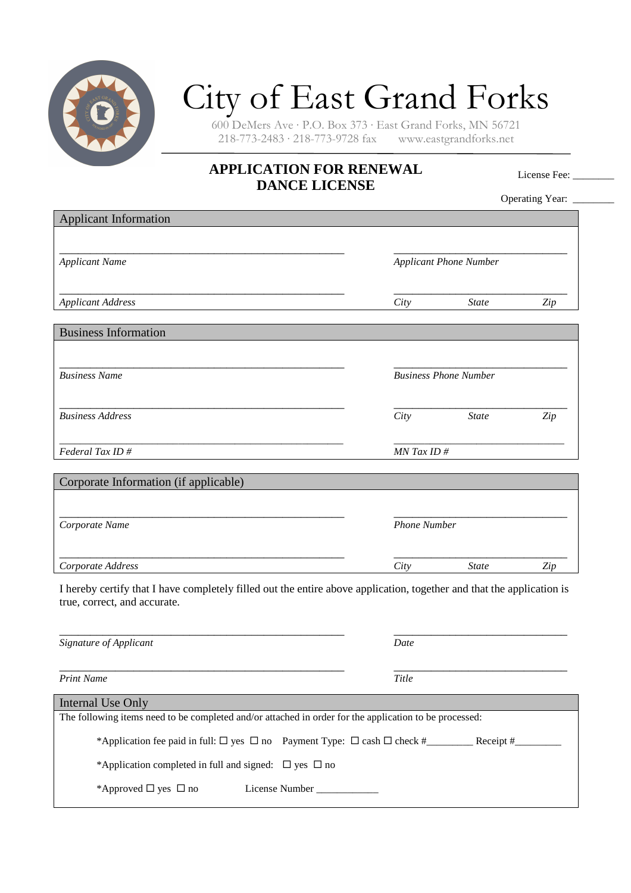

## City of East Grand Forks

600 DeMers Ave · P.O. Box 373 · East Grand Forks, MN 56721  $218-773-2483 \cdot 218-773-9728$  fax

## **APPLICATION FOR RENEWAL DANCE LICENSE**

License Fee: \_\_\_\_\_\_

Operating Year: \_\_\_\_\_\_\_

| <b>Applicant Information</b>                                                                                                                          |                               |                              |     |
|-------------------------------------------------------------------------------------------------------------------------------------------------------|-------------------------------|------------------------------|-----|
|                                                                                                                                                       |                               |                              |     |
| <b>Applicant Name</b>                                                                                                                                 | <b>Applicant Phone Number</b> |                              |     |
| <b>Applicant Address</b>                                                                                                                              | City                          | <b>State</b>                 | Zip |
|                                                                                                                                                       |                               |                              |     |
| <b>Business Information</b>                                                                                                                           |                               |                              |     |
|                                                                                                                                                       |                               |                              |     |
| <b>Business Name</b>                                                                                                                                  |                               | <b>Business Phone Number</b> |     |
| <b>Business Address</b>                                                                                                                               | City                          | <b>State</b>                 | Zip |
| Federal Tax ID#                                                                                                                                       | MN Tax ID#                    |                              |     |
|                                                                                                                                                       |                               |                              |     |
| Corporate Information (if applicable)                                                                                                                 |                               |                              |     |
|                                                                                                                                                       |                               |                              |     |
| Corporate Name                                                                                                                                        | <b>Phone Number</b>           |                              |     |
| Corporate Address                                                                                                                                     | City                          | <b>State</b>                 | Zip |
| I hereby certify that I have completely filled out the entire above application, together and that the application is<br>true, correct, and accurate. |                               |                              |     |
| Signature of Applicant                                                                                                                                | Date                          |                              |     |
| <b>Print Name</b>                                                                                                                                     | Title                         |                              |     |
| <b>Internal Use Only</b>                                                                                                                              |                               |                              |     |
| The following items need to be completed and/or attached in order for the application to be processed:                                                |                               |                              |     |
|                                                                                                                                                       |                               |                              |     |
| *Application completed in full and signed: $\Box$ yes $\Box$ no                                                                                       |                               |                              |     |
| *Approved $\Box$ yes $\Box$ no<br>License Number                                                                                                      |                               |                              |     |